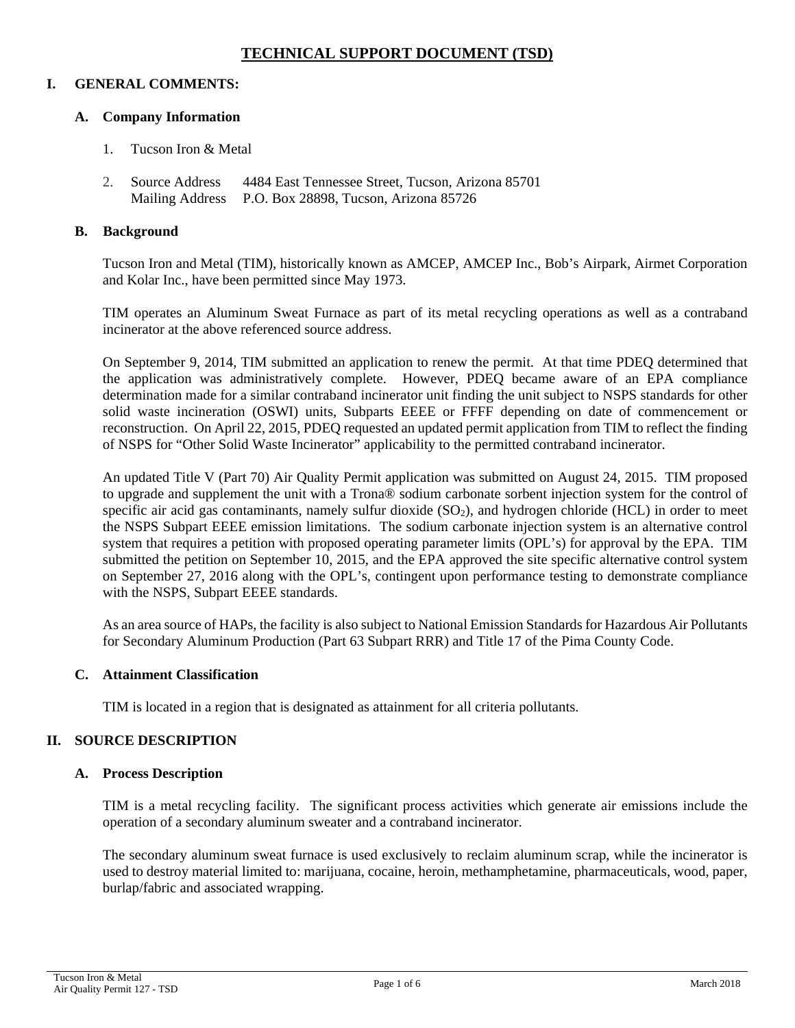# **TECHNICAL SUPPORT DOCUMENT (TSD)**

#### **I. GENERAL COMMENTS:**

#### **A. Company Information**

- 1. Tucson Iron & Metal
- 2. Source Address 4484 East Tennessee Street, Tucson, Arizona 85701 Mailing Address P.O. Box 28898, Tucson, Arizona 85726

#### **B. Background**

Tucson Iron and Metal (TIM), historically known as AMCEP, AMCEP Inc., Bob's Airpark, Airmet Corporation and Kolar Inc., have been permitted since May 1973.

TIM operates an Aluminum Sweat Furnace as part of its metal recycling operations as well as a contraband incinerator at the above referenced source address.

On September 9, 2014, TIM submitted an application to renew the permit. At that time PDEQ determined that the application was administratively complete. However, PDEQ became aware of an EPA compliance determination made for a similar contraband incinerator unit finding the unit subject to NSPS standards for other solid waste incineration (OSWI) units, Subparts EEEE or FFFF depending on date of commencement or reconstruction. On April 22, 2015, PDEQ requested an updated permit application from TIM to reflect the finding of NSPS for "Other Solid Waste Incinerator" applicability to the permitted contraband incinerator.

An updated Title V (Part 70) Air Quality Permit application was submitted on August 24, 2015. TIM proposed to upgrade and supplement the unit with a Trona® sodium carbonate sorbent injection system for the control of specific air acid gas contaminants, namely sulfur dioxide  $(SO<sub>2</sub>)$ , and hydrogen chloride (HCL) in order to meet the NSPS Subpart EEEE emission limitations. The sodium carbonate injection system is an alternative control system that requires a petition with proposed operating parameter limits (OPL's) for approval by the EPA. TIM submitted the petition on September 10, 2015, and the EPA approved the site specific alternative control system on September 27, 2016 along with the OPL's, contingent upon performance testing to demonstrate compliance with the NSPS, Subpart EEEE standards.

As an area source of HAPs, the facility is also subject to National Emission Standards for Hazardous Air Pollutants for Secondary Aluminum Production (Part 63 Subpart RRR) and Title 17 of the Pima County Code.

### **C. Attainment Classification**

TIM is located in a region that is designated as attainment for all criteria pollutants.

### **II. SOURCE DESCRIPTION**

#### **A. Process Description**

TIM is a metal recycling facility. The significant process activities which generate air emissions include the operation of a secondary aluminum sweater and a contraband incinerator.

The secondary aluminum sweat furnace is used exclusively to reclaim aluminum scrap, while the incinerator is used to destroy material limited to: marijuana, cocaine, heroin, methamphetamine, pharmaceuticals, wood, paper, burlap/fabric and associated wrapping.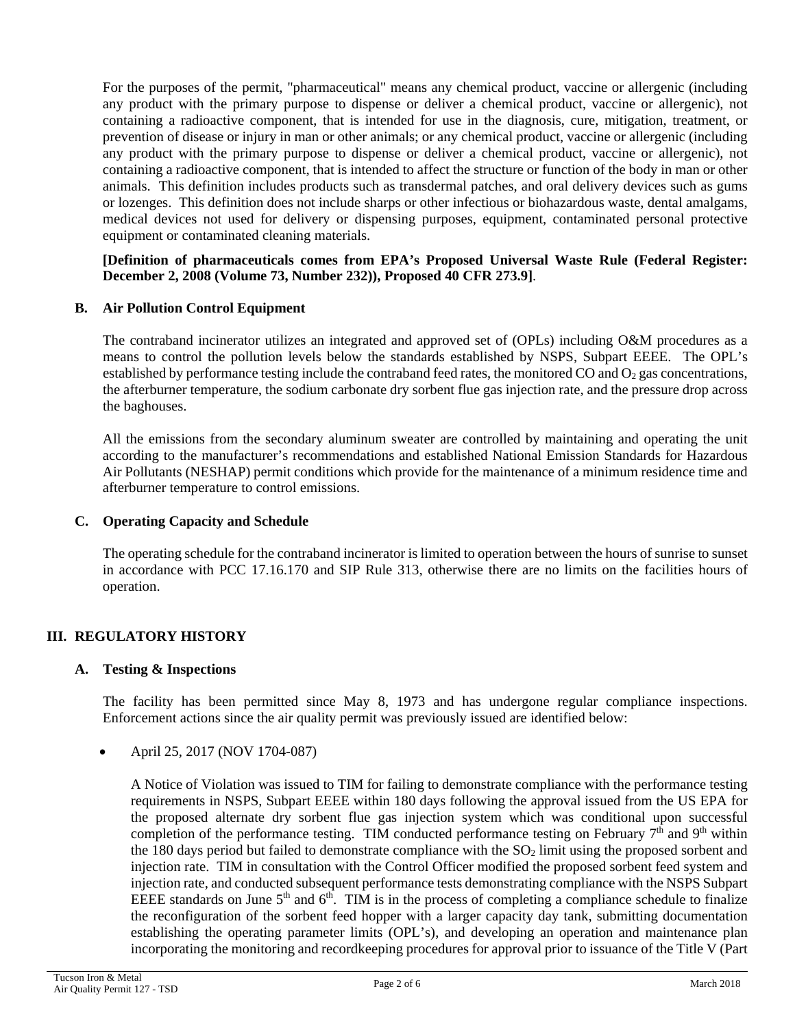For the purposes of the permit, "pharmaceutical" means any chemical product, vaccine or allergenic (including any product with the primary purpose to dispense or deliver a chemical product, vaccine or allergenic), not containing a radioactive component, that is intended for use in the diagnosis, cure, mitigation, treatment, or prevention of disease or injury in man or other animals; or any chemical product, vaccine or allergenic (including any product with the primary purpose to dispense or deliver a chemical product, vaccine or allergenic), not containing a radioactive component, that is intended to affect the structure or function of the body in man or other animals. This definition includes products such as transdermal patches, and oral delivery devices such as gums or lozenges. This definition does not include sharps or other infectious or biohazardous waste, dental amalgams, medical devices not used for delivery or dispensing purposes, equipment, contaminated personal protective equipment or contaminated cleaning materials.

### **[Definition of pharmaceuticals comes from EPA's Proposed Universal Waste Rule (Federal Register: December 2, 2008 (Volume 73, Number 232)), Proposed 40 CFR 273.9]**.

# **B. Air Pollution Control Equipment**

The contraband incinerator utilizes an integrated and approved set of (OPLs) including O&M procedures as a means to control the pollution levels below the standards established by NSPS, Subpart EEEE. The OPL's established by performance testing include the contraband feed rates, the monitored CO and  $O_2$  gas concentrations, the afterburner temperature, the sodium carbonate dry sorbent flue gas injection rate, and the pressure drop across the baghouses.

All the emissions from the secondary aluminum sweater are controlled by maintaining and operating the unit according to the manufacturer's recommendations and established National Emission Standards for Hazardous Air Pollutants (NESHAP) permit conditions which provide for the maintenance of a minimum residence time and afterburner temperature to control emissions.

### **C. Operating Capacity and Schedule**

The operating schedule for the contraband incinerator is limited to operation between the hours of sunrise to sunset in accordance with PCC 17.16.170 and SIP Rule 313, otherwise there are no limits on the facilities hours of operation.

# **III. REGULATORY HISTORY**

### **A. Testing & Inspections**

The facility has been permitted since May 8, 1973 and has undergone regular compliance inspections. Enforcement actions since the air quality permit was previously issued are identified below:

### • April 25, 2017 (NOV 1704-087)

A Notice of Violation was issued to TIM for failing to demonstrate compliance with the performance testing requirements in NSPS, Subpart EEEE within 180 days following the approval issued from the US EPA for the proposed alternate dry sorbent flue gas injection system which was conditional upon successful completion of the performance testing. TIM conducted performance testing on February  $7<sup>th</sup>$  and  $9<sup>th</sup>$  within the 180 days period but failed to demonstrate compliance with the  $SO<sub>2</sub>$  limit using the proposed sorbent and injection rate. TIM in consultation with the Control Officer modified the proposed sorbent feed system and injection rate, and conducted subsequent performance tests demonstrating compliance with the NSPS Subpart EEEE standards on June  $5<sup>th</sup>$  and  $6<sup>th</sup>$ . TIM is in the process of completing a compliance schedule to finalize the reconfiguration of the sorbent feed hopper with a larger capacity day tank, submitting documentation establishing the operating parameter limits (OPL's), and developing an operation and maintenance plan incorporating the monitoring and recordkeeping procedures for approval prior to issuance of the Title V (Part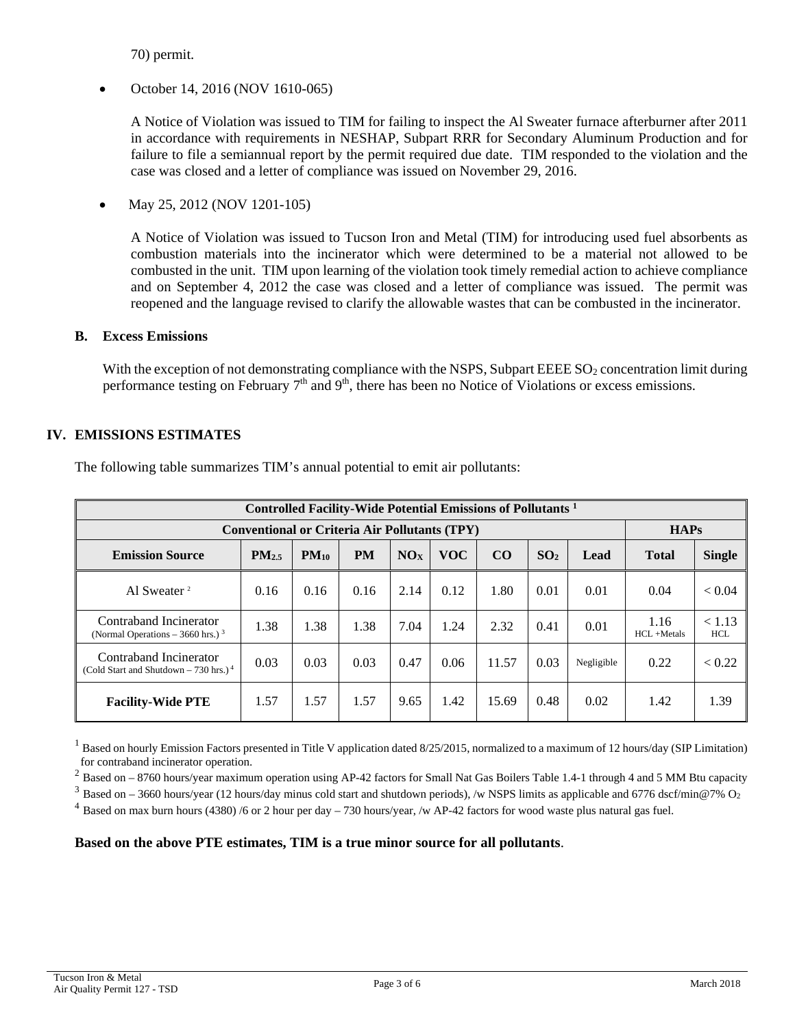70) permit.

• October 14, 2016 (NOV 1610-065)

A Notice of Violation was issued to TIM for failing to inspect the Al Sweater furnace afterburner after 2011 in accordance with requirements in NESHAP, Subpart RRR for Secondary Aluminum Production and for failure to file a semiannual report by the permit required due date. TIM responded to the violation and the case was closed and a letter of compliance was issued on November 29, 2016.

• May 25, 2012 (NOV 1201-105)

A Notice of Violation was issued to Tucson Iron and Metal (TIM) for introducing used fuel absorbents as combustion materials into the incinerator which were determined to be a material not allowed to be combusted in the unit. TIM upon learning of the violation took timely remedial action to achieve compliance and on September 4, 2012 the case was closed and a letter of compliance was issued. The permit was reopened and the language revised to clarify the allowable wastes that can be combusted in the incinerator.

#### **B. Excess Emissions**

With the exception of not demonstrating compliance with the NSPS, Subpart EEEE  $SO<sub>2</sub>$  concentration limit during performance testing on February 7<sup>th</sup> and 9<sup>th</sup>, there has been no Notice of Violations or excess emissions.

# **IV. EMISSIONS ESTIMATES**

| <b>Controlled Facility-Wide Potential Emissions of Pollutants</b> 1          |            |           |           |      |            |       |                 |            |                         |                      |
|------------------------------------------------------------------------------|------------|-----------|-----------|------|------------|-------|-----------------|------------|-------------------------|----------------------|
| <b>HAPs</b><br><b>Conventional or Criteria Air Pollutants (TPY)</b>          |            |           |           |      |            |       |                 |            |                         |                      |
| <b>Emission Source</b>                                                       | $PM_{2.5}$ | $PM_{10}$ | <b>PM</b> | NOx  | <b>VOC</b> | CO    | SO <sub>2</sub> | Lead       | <b>Total</b>            | <b>Single</b>        |
| Al Sweater <sup>2</sup>                                                      | 0.16       | 0.16      | 0.16      | 2.14 | 0.12       | 1.80  | 0.01            | 0.01       | 0.04                    | < 0.04               |
| Contraband Incinerator<br>(Normal Operations $-3660$ hrs.) <sup>3</sup>      | 1.38       | 1.38      | 1.38      | 7.04 | 1.24       | 2.32  | 0.41            | 0.01       | 1.16<br>$HCI. + Metals$ | < 1.13<br><b>HCL</b> |
| Contraband Incinerator<br>(Cold Start and Shutdown $-730$ hrs.) <sup>4</sup> | 0.03       | 0.03      | 0.03      | 0.47 | 0.06       | 11.57 | 0.03            | Negligible | 0.22                    | < 0.22               |
| <b>Facility-Wide PTE</b>                                                     | 1.57       | 1.57      | 1.57      | 9.65 | 1.42       | 15.69 | 0.48            | 0.02       | 1.42                    | 1.39                 |

The following table summarizes TIM's annual potential to emit air pollutants:

 $<sup>1</sup>$  Based on hourly Emission Factors presented in Title V application dated 8/25/2015, normalized to a maximum of 12 hours/day (SIP Limitation)</sup> for contraband incinerator operation.

 $2$  Based on  $-$  8760 hours/year maximum operation using AP-42 factors for Small Nat Gas Boilers Table 1.4-1 through 4 and 5 MM Btu capacity

 $3$  Based on – 3660 hours/year (12 hours/day minus cold start and shutdown periods), /w NSPS limits as applicable and 6776 dscf/min@7% O<sub>2</sub>

<sup>4</sup> Based on max burn hours (4380) /6 or 2 hour per day  $-730$  hours/year, /w AP-42 factors for wood waste plus natural gas fuel.

**Based on the above PTE estimates, TIM is a true minor source for all pollutants**.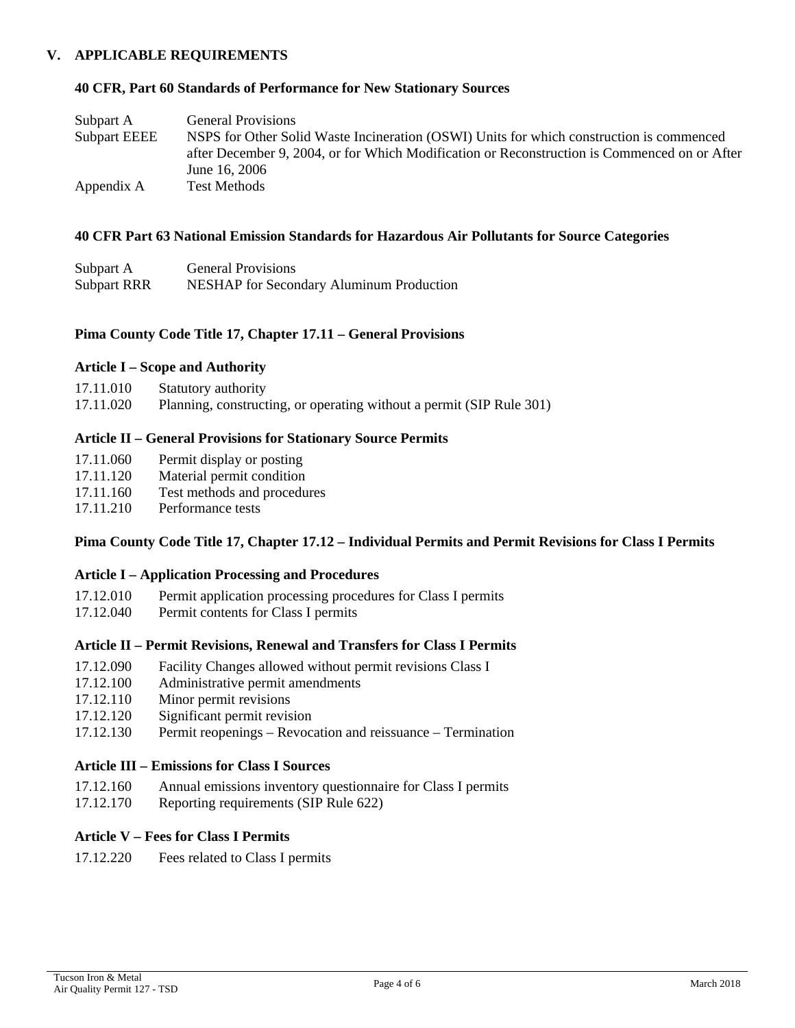### **V. APPLICABLE REQUIREMENTS**

#### **40 CFR, Part 60 Standards of Performance for New Stationary Sources**

| Subpart A           | <b>General Provisions</b>                                                                    |
|---------------------|----------------------------------------------------------------------------------------------|
| <b>Subpart EEEE</b> | NSPS for Other Solid Waste Incineration (OSWI) Units for which construction is commenced     |
|                     | after December 9, 2004, or for Which Modification or Reconstruction is Commenced on or After |
|                     | June 16, 2006                                                                                |
| Appendix A          | Test Methods                                                                                 |

#### **40 CFR Part 63 National Emission Standards for Hazardous Air Pollutants for Source Categories**

| Subpart A          | <b>General Provisions</b>                       |
|--------------------|-------------------------------------------------|
| <b>Subpart RRR</b> | <b>NESHAP</b> for Secondary Aluminum Production |

#### **Pima County Code Title 17, Chapter 17.11 – General Provisions**

#### **Article I – Scope and Authority**

| 17.11.010 | <b>Statutory authority</b>                                           |
|-----------|----------------------------------------------------------------------|
| 17.11.020 | Planning, constructing, or operating without a permit (SIP Rule 301) |

#### **Article II – General Provisions for Stationary Source Permits**

- 17.11.060 Permit display or posting
- 17.11.120 Material permit condition
- 17.11.160 Test methods and procedures<br>17.11.210 Performance tests
- Performance tests

### **Pima County Code Title 17, Chapter 17.12 – Individual Permits and Permit Revisions for Class I Permits**

### **Article I – Application Processing and Procedures**

- 17.12.010 Permit application processing procedures for Class I permits
- 17.12.040 Permit contents for Class I permits

# **Article II – Permit Revisions, Renewal and Transfers for Class I Permits**

- 17.12.090 Facility Changes allowed without permit revisions Class I
- 17.12.100 Administrative permit amendments
- 17.12.110 Minor permit revisions
- 17.12.120 Significant permit revision
- 17.12.130 Permit reopenings Revocation and reissuance Termination

# **Article III – Emissions for Class I Sources**

- 17.12.160 Annual emissions inventory questionnaire for Class I permits
- 17.12.170 Reporting requirements (SIP Rule 622)

### **Article V – Fees for Class I Permits**

17.12.220 Fees related to Class I permits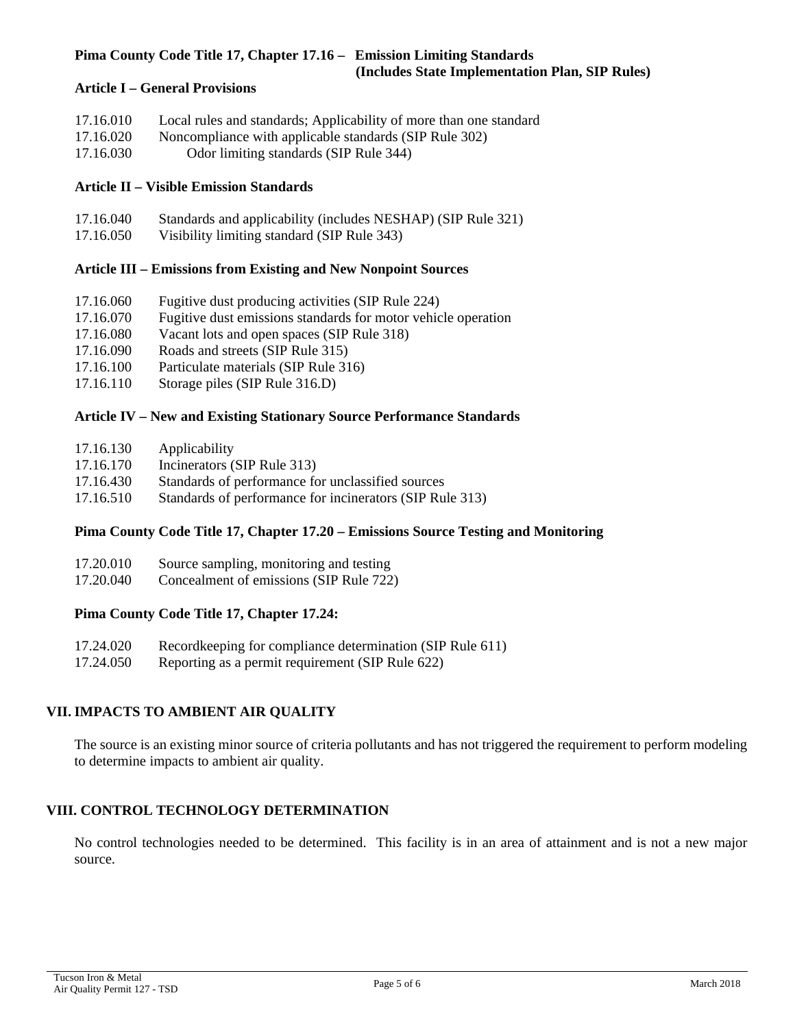# **Pima County Code Title 17, Chapter 17.16 – Emission Limiting Standards**

 **(Includes State Implementation Plan, SIP Rules)**

### **Article I – General Provisions**

| 17.16.010 | Local rules and standards; Applicability of more than one standard |
|-----------|--------------------------------------------------------------------|
| 17.16.020 | Noncompliance with applicable standards (SIP Rule 302)             |
| 17.16.030 | Odor limiting standards (SIP Rule 344)                             |

### **Article II – Visible Emission Standards**

| 17.16.040 | Standards and applicability (includes NESHAP) (SIP Rule 321) |
|-----------|--------------------------------------------------------------|
| 17.16.050 | Visibility limiting standard (SIP Rule 343)                  |

# **Article III – Emissions from Existing and New Nonpoint Sources**

- 17.16.060 Fugitive dust producing activities (SIP Rule 224)
- 17.16.070 Fugitive dust emissions standards for motor vehicle operation
- 17.16.080 Vacant lots and open spaces (SIP Rule 318)<br>17.16.090 Roads and streets (SIP Rule 315)
- Roads and streets (SIP Rule 315)
- 17.16.100 Particulate materials (SIP Rule 316)
- 17.16.110 Storage piles (SIP Rule 316.D)

### **Article IV – New and Existing Stationary Source Performance Standards**

- 17.16.130 Applicability
- 17.16.170 Incinerators (SIP Rule 313)
- 17.16.430 Standards of performance for unclassified sources
- 17.16.510 Standards of performance for incinerators (SIP Rule 313)

### **Pima County Code Title 17, Chapter 17.20 – Emissions Source Testing and Monitoring**

17.20.040 Concealment of emissions (SIP Rule 722)

### **Pima County Code Title 17, Chapter 17.24:**

| 17.24.020 |  |  | Recordkeeping for compliance determination (SIP Rule 611) |
|-----------|--|--|-----------------------------------------------------------|
|           |  |  |                                                           |

17.24.050 Reporting as a permit requirement (SIP Rule 622)

# **VII. IMPACTS TO AMBIENT AIR QUALITY**

The source is an existing minor source of criteria pollutants and has not triggered the requirement to perform modeling to determine impacts to ambient air quality.

# **VIII. CONTROL TECHNOLOGY DETERMINATION**

No control technologies needed to be determined. This facility is in an area of attainment and is not a new major source.